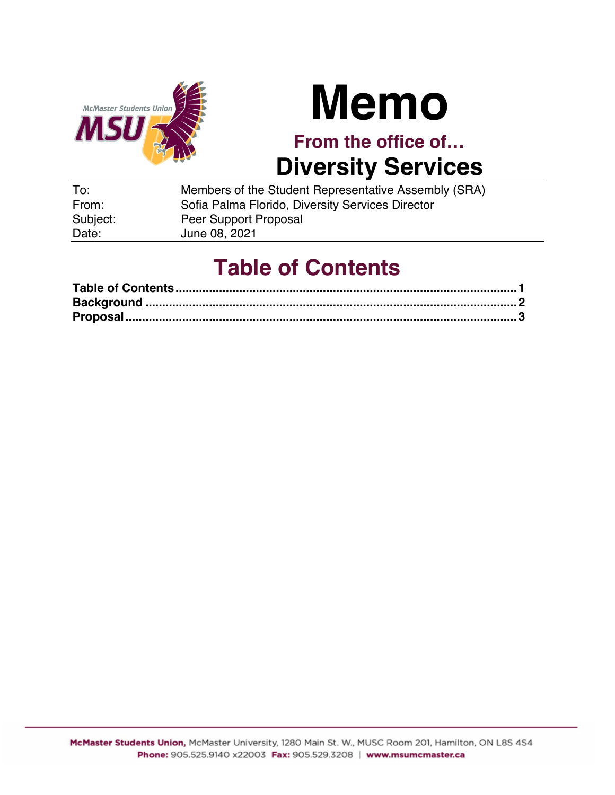

# **Memo**

**From the office of… Diversity Services**

| To:      | Members of the Student Representative Assembly (SRA) |
|----------|------------------------------------------------------|
| From:    | Sofia Palma Florido, Diversity Services Director     |
| Subject: | Peer Support Proposal                                |
| Date:    | June 08, 2021                                        |

# **Table of Contents**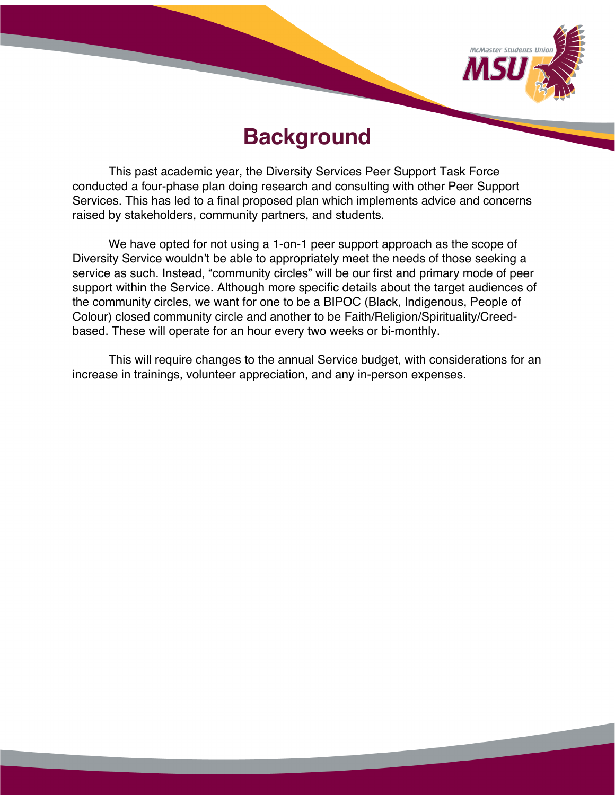

## **Background**

This past academic year, the Diversity Services Peer Support Task Force conducted a four-phase plan doing research and consulting with other Peer Support Services. This has led to a final proposed plan which implements advice and concerns raised by stakeholders, community partners, and students.

We have opted for not using a 1-on-1 peer support approach as the scope of Diversity Service wouldn't be able to appropriately meet the needs of those seeking a service as such. Instead, "community circles" will be our first and primary mode of peer support within the Service. Although more specific details about the target audiences of the community circles, we want for one to be a BIPOC (Black, Indigenous, People of Colour) closed community circle and another to be Faith/Religion/Spirituality/Creedbased. These will operate for an hour every two weeks or bi-monthly.

This will require changes to the annual Service budget, with considerations for an increase in trainings, volunteer appreciation, and any in-person expenses.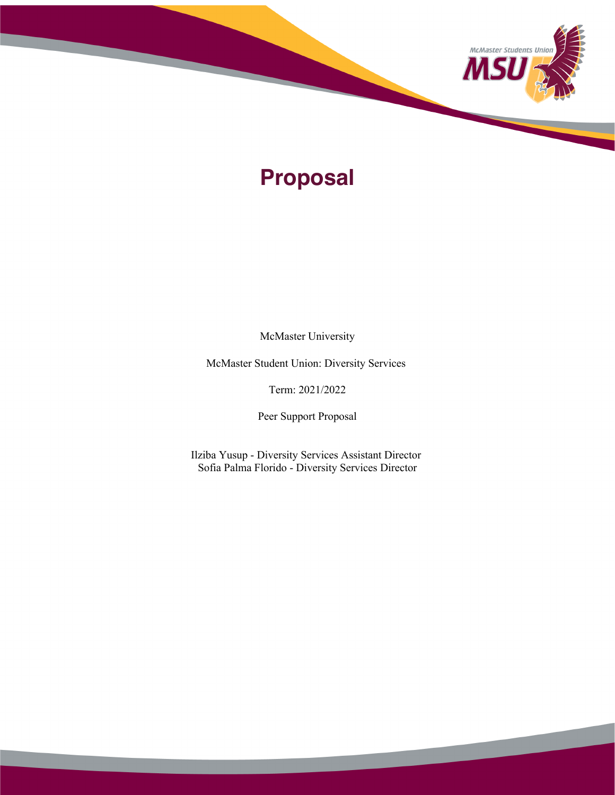

# **Proposal**

McMaster University

McMaster Student Union: Diversity Services

Term: 2021/2022

Peer Support Proposal

Ilziba Yusup - Diversity Services Assistant Director Sofia Palma Florido - Diversity Services Director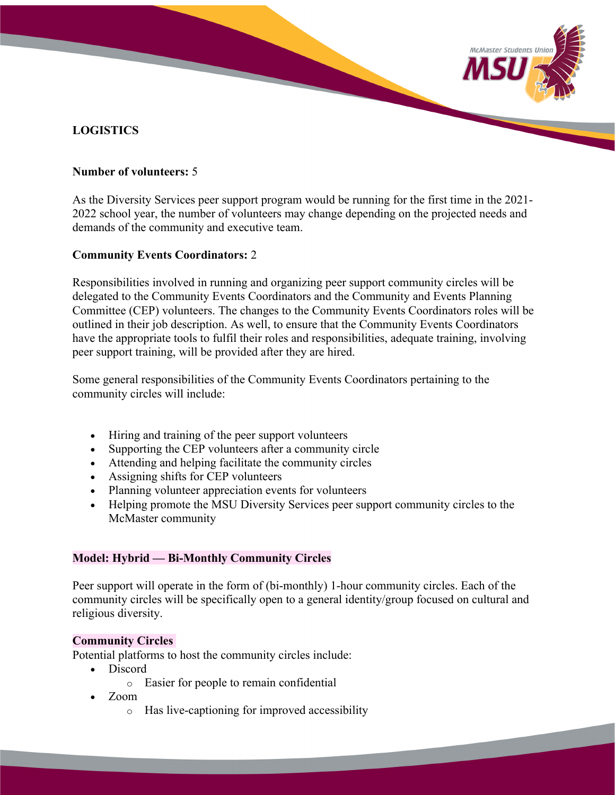## **LOGISTICS**

#### **Number of volunteers:** 5

As the Diversity Services peer support program would be running for the first time in the 2021- 2022 school year, the number of volunteers may change depending on the projected needs and demands of the community and executive team.

McMaster Students Unio

#### **Community Events Coordinators:** 2

Responsibilities involved in running and organizing peer support community circles will be delegated to the Community Events Coordinators and the Community and Events Planning Committee (CEP) volunteers. The changes to the Community Events Coordinators roles will be outlined in their job description. As well, to ensure that the Community Events Coordinators have the appropriate tools to fulfil their roles and responsibilities, adequate training, involving peer support training, will be provided after they are hired.

Some general responsibilities of the Community Events Coordinators pertaining to the community circles will include:

- Hiring and training of the peer support volunteers
- Supporting the CEP volunteers after a community circle
- Attending and helping facilitate the community circles
- Assigning shifts for CEP volunteers
- Planning volunteer appreciation events for volunteers
- Helping promote the MSU Diversity Services peer support community circles to the McMaster community

#### **Model: Hybrid — Bi-Monthly Community Circles**

Peer support will operate in the form of (bi-monthly) 1-hour community circles. Each of the community circles will be specifically open to a general identity/group focused on cultural and religious diversity.

#### **Community Circles**

Potential platforms to host the community circles include:

- Discord
	- o Easier for people to remain confidential
- Zoom
	- o Has live-captioning for improved accessibility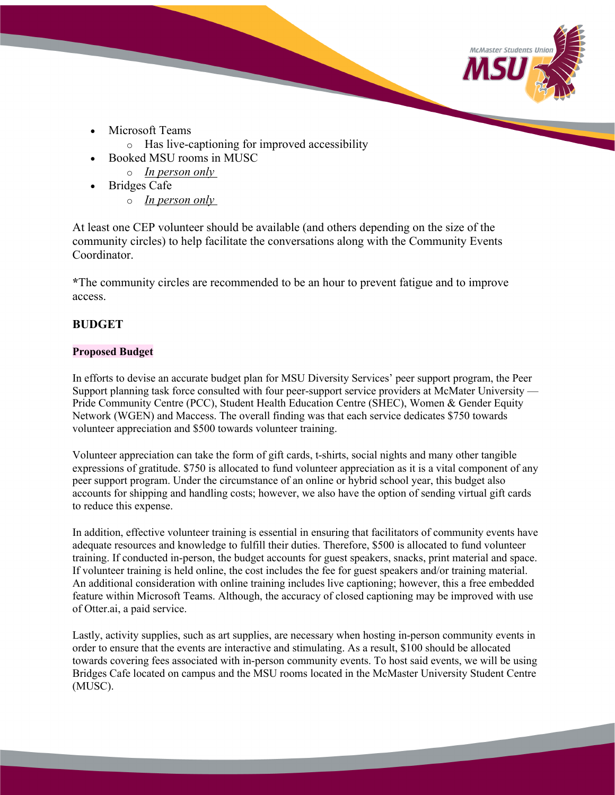

- Microsoft Teams
	- o Has live-captioning for improved accessibility
- Booked MSU rooms in MUSC
	- o *In person only*
- Bridges Cafe
	- o *In person only*

At least one CEP volunteer should be available (and others depending on the size of the community circles) to help facilitate the conversations along with the Community Events Coordinator.

**\***The community circles are recommended to be an hour to prevent fatigue and to improve access.

## **BUDGET**

#### **Proposed Budget**

In efforts to devise an accurate budget plan for MSU Diversity Services' peer support program, the Peer Support planning task force consulted with four peer-support service providers at McMater University — Pride Community Centre (PCC), Student Health Education Centre (SHEC), Women & Gender Equity Network (WGEN) and Maccess. The overall finding was that each service dedicates \$750 towards volunteer appreciation and \$500 towards volunteer training.

Volunteer appreciation can take the form of gift cards, t-shirts, social nights and many other tangible expressions of gratitude. \$750 is allocated to fund volunteer appreciation as it is a vital component of any peer support program. Under the circumstance of an online or hybrid school year, this budget also accounts for shipping and handling costs; however, we also have the option of sending virtual gift cards to reduce this expense.

In addition, effective volunteer training is essential in ensuring that facilitators of community events have adequate resources and knowledge to fulfill their duties. Therefore, \$500 is allocated to fund volunteer training. If conducted in-person, the budget accounts for guest speakers, snacks, print material and space. If volunteer training is held online, the cost includes the fee for guest speakers and/or training material. An additional consideration with online training includes live captioning; however, this a free embedded feature within Microsoft Teams. Although, the accuracy of closed captioning may be improved with use of Otter.ai, a paid service.

Lastly, activity supplies, such as art supplies, are necessary when hosting in-person community events in order to ensure that the events are interactive and stimulating. As a result, \$100 should be allocated towards covering fees associated with in-person community events. To host said events, we will be using Bridges Cafe located on campus and the MSU rooms located in the McMaster University Student Centre (MUSC).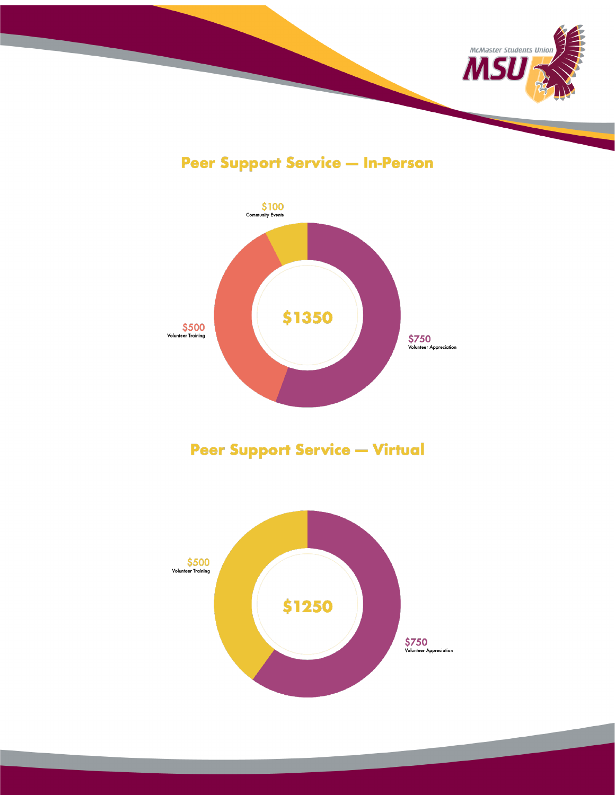

**Peer Support Service - In-Person** 



**Peer Support Service - Virtual** 

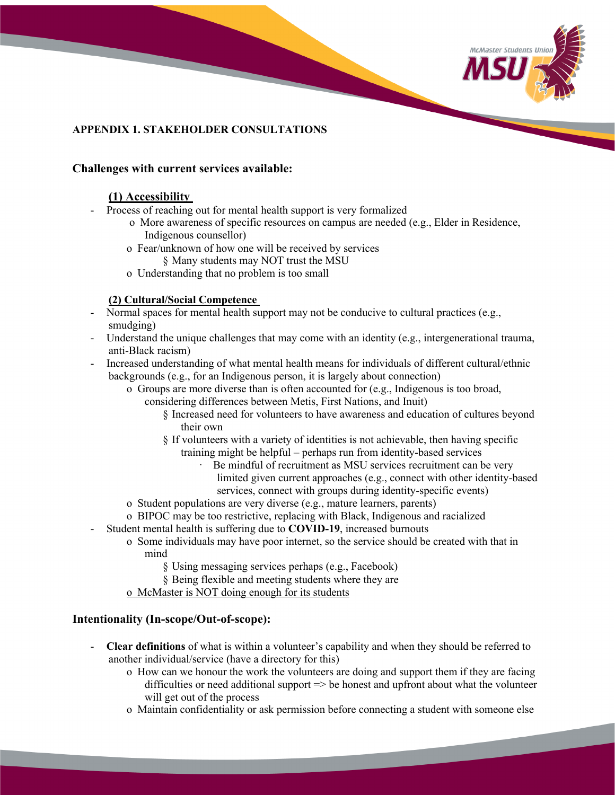

### **APPENDIX 1. STAKEHOLDER CONSULTATIONS**

#### **Challenges with current services available:**

#### **(1) Accessibility**

- Process of reaching out for mental health support is very formalized
	- o More awareness of specific resources on campus are needed (e.g., Elder in Residence, Indigenous counsellor)
	- o Fear/unknown of how one will be received by services
	- § Many students may NOT trust the MSU
	- o Understanding that no problem is too small

#### **(2) Cultural/Social Competence**

- Normal spaces for mental health support may not be conducive to cultural practices (e.g., smudging)
- Understand the unique challenges that may come with an identity (e.g., intergenerational trauma, anti-Black racism)
- Increased understanding of what mental health means for individuals of different cultural/ethnic backgrounds (e.g., for an Indigenous person, it is largely about connection)
	- o Groups are more diverse than is often accounted for (e.g., Indigenous is too broad, considering differences between Metis, First Nations, and Inuit)
		- § Increased need for volunteers to have awareness and education of cultures beyond their own
		- § If volunteers with a variety of identities is not achievable, then having specific training might be helpful – perhaps run from identity-based services
			- Be mindful of recruitment as MSU services recruitment can be very limited given current approaches (e.g., connect with other identity-based
			- services, connect with groups during identity-specific events)
	- o Student populations are very diverse (e.g., mature learners, parents)
	- o BIPOC may be too restrictive, replacing with Black, Indigenous and racialized
	- Student mental health is suffering due to **COVID-19**, increased burnouts
		- o Some individuals may have poor internet, so the service should be created with that in mind
			- § Using messaging services perhaps (e.g., Facebook)
			- § Being flexible and meeting students where they are
			- o McMaster is NOT doing enough for its students

#### **Intentionality (In-scope/Out-of-scope):**

- **Clear definitions** of what is within a volunteer's capability and when they should be referred to another individual/service (have a directory for this)
	- o How can we honour the work the volunteers are doing and support them if they are facing difficulties or need additional support  $\Rightarrow$  be honest and upfront about what the volunteer will get out of the process
	- o Maintain confidentiality or ask permission before connecting a student with someone else